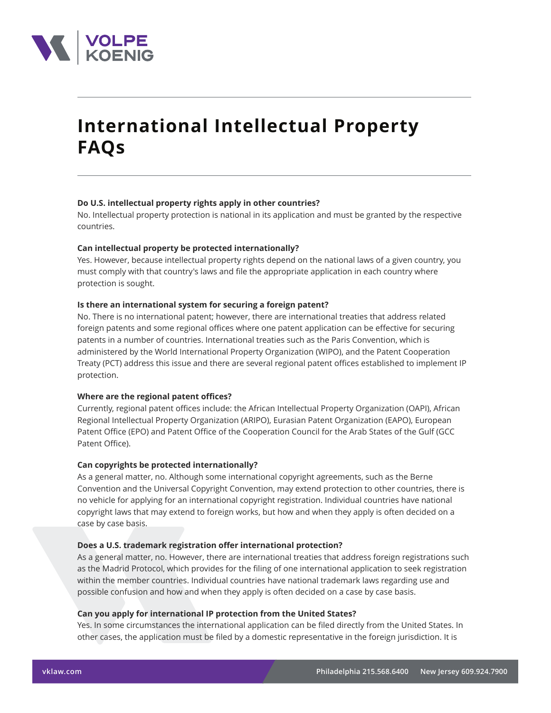

# **International Intellectual Property FAQs**

# **Do U.S. intellectual property rights apply in other countries?**

No. Intellectual property protection is national in its application and must be granted by the respective countries.

## **Can intellectual property be protected internationally?**

Yes. However, because intellectual property rights depend on the national laws of a given country, you must comply with that country's laws and file the appropriate application in each country where protection is sought.

## **Is there an international system for securing a foreign patent?**

No. There is no international patent; however, there are international treaties that address related foreign patents and some regional offices where one patent application can be effective for securing patents in a number of countries. International treaties such as the Paris Convention, which is administered by the World International Property Organization (WIPO), and the Patent Cooperation Treaty (PCT) address this issue and there are several regional patent offices established to implement IP protection.

#### **Where are the regional patent offices?**

Currently, regional patent offices include: the African Intellectual Property Organization (OAPI), African Regional Intellectual Property Organization (ARIPO), Eurasian Patent Organization (EAPO), European Patent Office (EPO) and Patent Office of the Cooperation Council for the Arab States of the Gulf (GCC Patent Office).

#### **Can copyrights be protected internationally?**

As a general matter, no. Although some international copyright agreements, such as the Berne Convention and the Universal Copyright Convention, may extend protection to other countries, there is no vehicle for applying for an international copyright registration. Individual countries have national copyright laws that may extend to foreign works, but how and when they apply is often decided on a case by case basis.

## **Does a U.S. trademark registration offer international protection?**

As a general matter, no. However, there are international treaties that address foreign registrations such as the Madrid Protocol, which provides for the filing of one international application to seek registration within the member countries. Individual countries have national trademark laws regarding use and possible confusion and how and when they apply is often decided on a case by case basis.

#### **Can you apply for international IP protection from the United States?**

Yes. In some circumstances the international application can be filed directly from the United States. In other cases, the application must be filed by a domestic representative in the foreign jurisdiction. It is